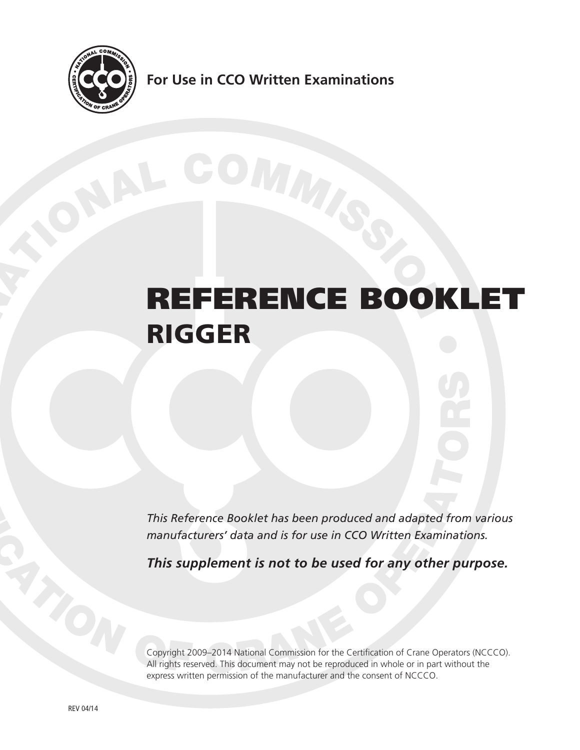

**For Use in CCO Written Examinations**

# REFERENCE BOOKLET RIGGER

*This Reference Booklet has been produced and adapted from various manufacturers' data and is for use in CCO Written Examinations.*

*This supplement is not to be used for any other purpose.*

Copyright 2009–2014 National Commission for the Certification of Crane Operators (NCCCO). All rights reserved. This document may not be reproduced in whole or in part without the express written permission of the manufacturer and the consent of NCCCO.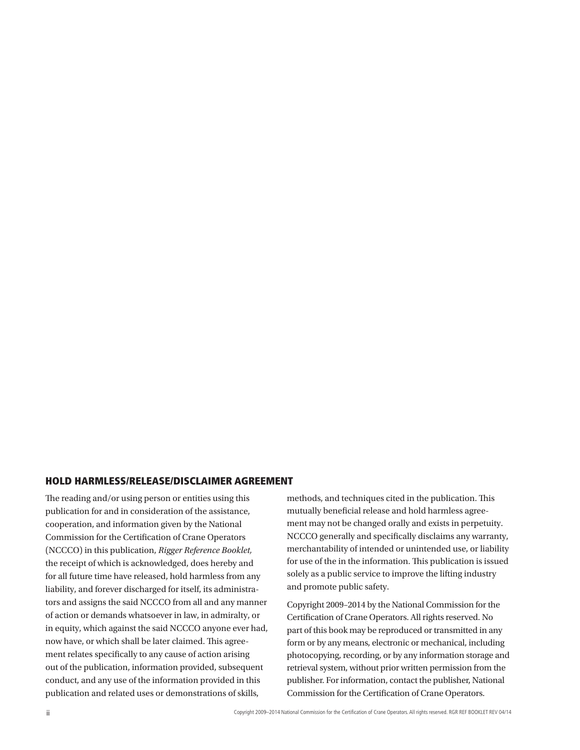#### HOLD HARMLESS/RELEASE/DISCLAIMER AGREEMENT

The reading and/or using person or entities using this publication for and in consideration of the assistance, cooperation, and information given by the National Commission for the Certification of Crane Operators (NCCCO) in this publication, *Rigger Reference Booklet,* the receipt of which is acknowledged, does hereby and for all future time have released, hold harmless from any liability, and forever discharged for itself, its administrators and assigns the said NCCCO from all and any manner of action or demands whatsoever in law, in admiralty, or in equity, which against the said NCCCO anyone ever had, now have, or which shall be later claimed. This agreement relates specifically to any cause of action arising out of the publication, information provided, subsequent conduct, and any use of the information provided in this publication and related uses or demonstrations of skills,

methods, and techniques cited in the publication. This mutually beneficial release and hold harmless agreement may not be changed orally and exists in perpetuity. NCCCO generally and specifically disclaims any warranty, merchantability of intended or unintended use, or liability for use of the in the information. This publication is issued solely as a public service to improve the lifting industry and promote public safety.

Copyright 2009–2014 by the National Commission for the Certification of Crane Operators. All rights reserved. No part of this book may be reproduced or transmitted in any form or by any means, electronic or mechanical, including photocopying, recording, or by any information storage and retrieval system, without prior written permission from the publisher. For information, contact the publisher, National Commission for the Certification of Crane Operators.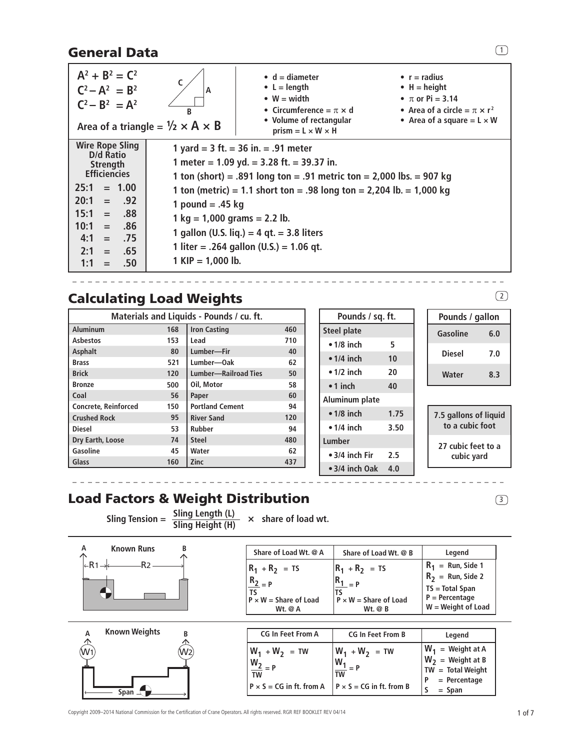## General Data

| $A^2 + B^2 = C^2$<br>$C^2 - A^2 = B^2$<br>$C^2 - B^2 = A^2$                                                                                                                                                              | A<br>B<br>Area of a triangle = $\frac{1}{2} \times A \times B$                                      | $\bullet$ d = diameter<br>• $L =$ length<br>$\bullet$ W = width<br>• Circumference = $\pi \times d$<br>• Volume of rectangular<br>prism = $L \times W \times H$                                                                                                                                                                          | • $r =$ radius<br>$\bullet$ H = height<br>• $\pi$ or Pi = 3.14<br>• Area of a circle $=\pi \times r^2$<br>• Area of a square $= L \times W$ |
|--------------------------------------------------------------------------------------------------------------------------------------------------------------------------------------------------------------------------|-----------------------------------------------------------------------------------------------------|------------------------------------------------------------------------------------------------------------------------------------------------------------------------------------------------------------------------------------------------------------------------------------------------------------------------------------------|---------------------------------------------------------------------------------------------------------------------------------------------|
| <b>Wire Rope Sling</b><br>D/d Ratio<br>Strength<br><b>Efficiencies</b><br>25:1<br>$= 1.00$<br>20:1<br>$= .92$<br>15:1<br>.88<br>$=$<br>10:1<br>.86<br>$=$<br>4:1<br>.75<br>$=$<br>2:1<br>.65<br>$=$<br>1:1<br>.50<br>$=$ | 1 pound $= .45$ kg<br>$1 \text{ kg} = 1,000 \text{ grams} = 2.2 \text{ lb}.$<br>1 KIP = $1,000$ lb. | 1 yard = $3$ ft. = $36$ in. = $.91$ meter<br>1 meter = $1.09$ yd. = $3.28$ ft. = $39.37$ in.<br>1 ton (short) = .891 long ton = .91 metric ton = $2,000$ lbs. = 907 kg<br>1 ton (metric) = 1.1 short ton = .98 long ton = 2,204 lb. = 1,000 kg<br>1 gallon (U.S. liq.) = 4 gt. = 3.8 liters<br>1 liter = .264 gallon $(U.S.) = 1.06$ gt. |                                                                                                                                             |

 $- - - - - - -$ 

## Calculating Load Weights 2008 2012 12:38 2014

| Materials and Liquids - Pounds / cu. ft. |     |                             |     |  |  |
|------------------------------------------|-----|-----------------------------|-----|--|--|
| Aluminum                                 | 168 | <b>Iron Casting</b>         | 460 |  |  |
| <b>Asbestos</b>                          | 153 | Lead                        | 710 |  |  |
| Asphalt                                  | 80  | Lumber-Fir                  | 40  |  |  |
| <b>Brass</b>                             | 521 | Lumber-Oak                  | 62  |  |  |
| <b>Brick</b><br>120                      |     | <b>Lumber-Railroad Ties</b> | 50  |  |  |
| <b>Bronze</b>                            | 500 | Oil, Motor                  | 58  |  |  |
| Coal                                     | 56  | Paper                       | 60  |  |  |
| <b>Concrete, Reinforced</b>              | 150 | <b>Portland Cement</b>      | 94  |  |  |
| <b>Crushed Rock</b>                      | 95  | <b>River Sand</b>           | 120 |  |  |
| <b>Diesel</b>                            | 53  | <b>Rubber</b>               | 94  |  |  |
| Dry Earth, Loose                         | 74  | <b>Steel</b>                | 480 |  |  |
| Gasoline                                 | 45  | Water                       | 62  |  |  |
| Glass                                    | 160 | <b>Zinc</b>                 | 437 |  |  |

| Pounds / sq. ft.           |      |  | Pounds / gallon       |     |
|----------------------------|------|--|-----------------------|-----|
| Steel plate                |      |  | Gasoline              | 6.0 |
| $\bullet$ 1/8 inch         | 5    |  |                       |     |
| $\bullet$ 1/4 inch         | 10   |  | <b>Diesel</b>         | 7.0 |
| $\bullet$ 1/2 inch         | 20   |  | Water                 | 8.3 |
| $\bullet$ 1 inch<br>40     |      |  |                       |     |
| Aluminum plate             |      |  |                       |     |
| $\bullet$ 1/8 inch         | 1.75 |  | 7.5 gallons of liquid |     |
| $\bullet$ 1/4 inch<br>3.50 |      |  | to a cubic foot       |     |
| Lumber                     |      |  | 27 cubic feet to a    |     |
| • 3/4 inch Fir<br>2.5      |      |  | cubic yard            |     |
| $\bullet$ 3/4 inch Oak     | 4.0  |  |                       |     |

# Load Factors & Weight Distribution **3**

Sling Tension =  $\frac{\text{Sling Length (L)}}{\text{Sling Height (H)}} \times \text{share of load wt.}$ 





| Share of Load Wt. @ A                                                                          | Share of Load Wt. @ B                                                                              | Legend                                                                                                      |
|------------------------------------------------------------------------------------------------|----------------------------------------------------------------------------------------------------|-------------------------------------------------------------------------------------------------------------|
| $R_1 + R_2 = TS$<br>$\frac{R_2}{2}$ = P<br>TS<br>$P \times W =$ Share of Load<br>Wt $\alpha$ A | $R_1 + R_2 = TS$<br>$R_{1}$ <sub>= P</sub><br>$P \times W =$ Share of Load<br>W <sub>t</sub> $@$ B | $R_1$ = Run, Side 1<br>$R_2$ = Run, Side 2<br>$TS = Total Span$<br>$P = Percentage$<br>$W = Weight of Load$ |

| <b>CG In Feet From A</b>        | <b>CG In Feet From B</b>        | Legend                                                            |
|---------------------------------|---------------------------------|-------------------------------------------------------------------|
| $W_1 + W_2 = TW$<br><b>TW</b>   | $W_1 + W_2 = TW$<br>TW          | $W_1$ = Weight at A<br>$W_2$ = Weight at B<br>$TW = Total Weight$ |
| $P \times S = CG$ in ft. from A | $P \times S = CG$ in ft. from B | $=$ Percentage<br>$=$ Span                                        |

 $\boxed{1}$ 

Copyright 2009–2014 National Commission for the Certification of Crane Operators. All rights reserved. RGR REF BOOKLET REV 04/14 1 06 7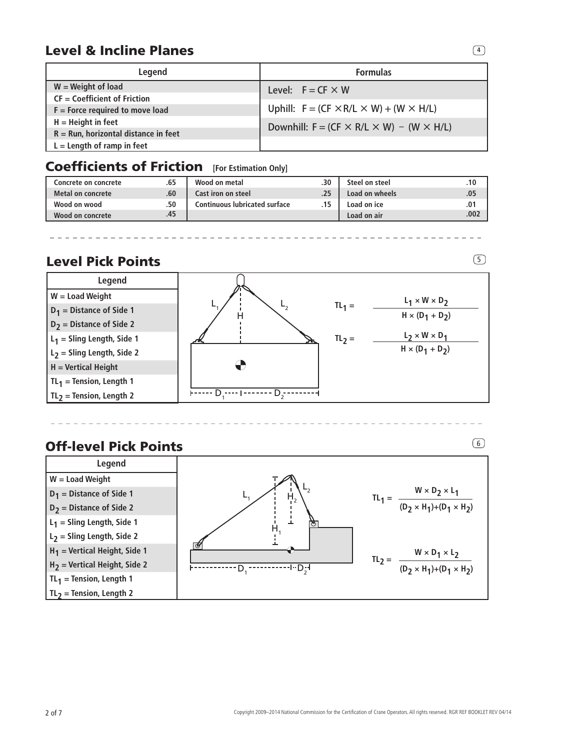## **Level & Incline Planes 44**

| Legend                                 | <b>Formulas</b>                                           |  |  |
|----------------------------------------|-----------------------------------------------------------|--|--|
| $W = Weight of load$                   | Level: $F = CF \times W$                                  |  |  |
| $CF = Coefficient of Friction$         |                                                           |  |  |
| $F =$ Force required to move load      | Uphill: $F = (CF \times R/L \times W) + (W \times H/L)$   |  |  |
| $H =$ Height in feet                   | Downhill: $F = (CF \times R/L \times W) - (W \times H/L)$ |  |  |
| $R =$ Run, horizontal distance in feet |                                                           |  |  |
| $L =$ Length of ramp in feet           |                                                           |  |  |

## Coefficients of Friction **[For Estimation Only]**

| Concrete on concrete |     | Wood on metal                 | .30 | Steel on steel | .10  |
|----------------------|-----|-------------------------------|-----|----------------|------|
| Metal on concrete    | .60 | Cast iron on steel            |     | Load on wheels | .05  |
| Wood on wood         | .50 | Continuous lubricated surface |     | Load on ice    | .01  |
| Wood on concrete     | .45 |                               |     | Load on air    | .007 |

## **Level Pick Points** 5 and 5 and 5 and 5 and 5 and 5 and 5 and 5 and 5 and 5 and 5 and 5 and 5 and 5 and 5 and 5 and 5 and 5 and 5 and 5 and 5 and 5 and 5 and 5 and 5 and 5 and 5 and 5 and 5 and 5 and 5 and 5 and 5 and 5 an



## Off-level Pick Points **600 and 100 and 100 and 100 and 100 and 100 and 100 and 100 and 100 and 100 and 100 and 100 and 100 and 100 and 100 and 100 and 100 and 100 and 100 and 100 and 100 and 100 and 100 and 100 and 100 and**

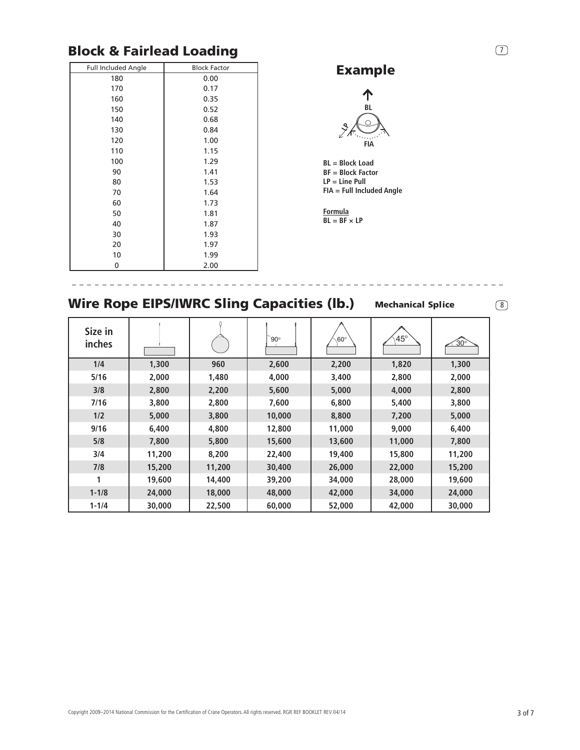## Block & Fairlead Loading

| <b>Full Included Angle</b> | <b>Block Factor</b> |
|----------------------------|---------------------|
| 180                        | 0.00                |
| 170                        | 0.17                |
| 160                        | 0.35                |
| 150                        | 0.52                |
| 140                        | 0.68                |
| 130                        | 0.84                |
| 120                        | 1.00                |
| 110                        | 1.15                |
| 100                        | 1.29                |
| 90                         | 1.41                |
| 80                         | 1.53                |
| 70                         | 1.64                |
| 60                         | 1.73                |
| 50                         | 1.81                |
| 40                         | 1.87                |
| 30                         | 1.93                |
| 20                         | 1.97                |
| 10                         | 1.99                |
| 0                          | 2.00                |

## Example

 $\left( 7\right)$ 

8



**BL = Block Load BF = Block Factor LP = Line Pull FIA = Full Included Angle**

**Formula**  $BL = BF \times LP$ 

| <b>Wire Rope EIPS/IWRC Sling Capacities (lb.)</b><br><b>Mechanical Splice</b> |       |       |            |            |            |       |  |  |
|-------------------------------------------------------------------------------|-------|-------|------------|------------|------------|-------|--|--|
| Size in<br>inches                                                             |       |       | $90^\circ$ | $60^\circ$ | $45^\circ$ | ´30°  |  |  |
| 1/4                                                                           | 1,300 | 960   | 2,600      | 2,200      | 1,820      | 1,300 |  |  |
| 5/16                                                                          | 2,000 | 1,480 | 4,000      | 3,400      | 2,800      | 2,000 |  |  |
| 3/8                                                                           | 2,800 | 2,200 | 5,600      | 5,000      | 4,000      | 2,800 |  |  |
| 7/16                                                                          | 3,800 | 2,800 | 7,600      | 6,800      | 5,400      | 3,800 |  |  |

**1/2 5,000 3,800 10,000 8,800 7,200 5,000 9/16 6,400 4,800 12,800 11,000 9,000 6,400 5/8 7,800 5,800 15,600 13,600 11,000 7,800 3/4 11,200 8,200 22,400 19,400 15,800 11,200 7/8 15,200 11,200 30,400 26,000 22,000 15,200 1 19,600 14,400 39,200 34,000 28,000 19,600 1-1/8 24,000 18,000 48,000 42,000 34,000 24,000 1-1/4 30,000 22,500 60,000 52,000 42,000 30,000**

Copyright 2009–2014 National Commission for the Certification of Crane Operators. All rights reserved. RGR REF BOOKLET REV 04/14 3 of 7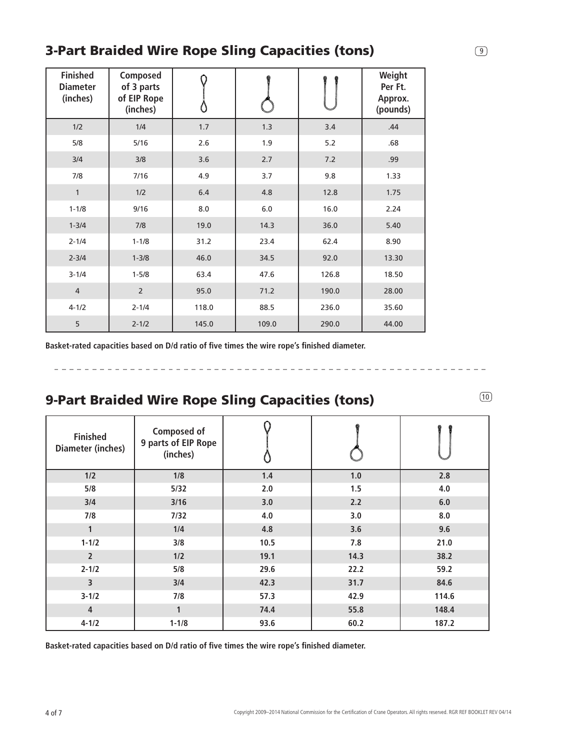## 3-Part Braided Wire Rope Sling Capacities (tons)

| <b>Finished</b><br><b>Diameter</b><br>(inches) | Composed<br>of 3 parts<br>of EIP Rope<br>(inches) |       |       |       | Weight<br>Per Ft.<br>Approx.<br>(pounds) |
|------------------------------------------------|---------------------------------------------------|-------|-------|-------|------------------------------------------|
| 1/2                                            | 1/4                                               | 1.7   | 1.3   | 3.4   | .44                                      |
| 5/8                                            | $5/16$                                            | 2.6   | 1.9   | 5.2   | .68                                      |
| 3/4                                            | 3/8                                               | 3.6   | 2.7   | 7.2   | .99                                      |
| 7/8                                            | 7/16                                              | 4.9   | 3.7   | 9.8   | 1.33                                     |
| $\mathbf{1}$                                   | 1/2                                               | 6.4   | 4.8   | 12.8  | 1.75                                     |
| $1 - 1/8$                                      | 9/16                                              | 8.0   | $6.0$ | 16.0  | 2.24                                     |
| $1 - 3/4$                                      | 7/8                                               | 19.0  | 14.3  | 36.0  | 5.40                                     |
| $2 - 1/4$                                      | $1 - 1/8$                                         | 31.2  | 23.4  | 62.4  | 8.90                                     |
| $2 - 3/4$                                      | $1 - 3/8$                                         | 46.0  | 34.5  | 92.0  | 13.30                                    |
| $3 - 1/4$                                      | $1 - 5/8$                                         | 63.4  | 47.6  | 126.8 | 18.50                                    |
| $\overline{4}$                                 | $\overline{2}$                                    | 95.0  | 71.2  | 190.0 | 28.00                                    |
| $4 - 1/2$                                      | $2 - 1/4$                                         | 118.0 | 88.5  | 236.0 | 35.60                                    |
| 5                                              | $2 - 1/2$                                         | 145.0 | 109.0 | 290.0 | 44.00                                    |

**Basket-rated capacities based on D/d ratio of five times the wire rope's finished diameter.** 

## 9-Part Braided Wire Rope Sling Capacities (tons) **10 12 12 13 13 14 15 16 16**

\_\_\_\_\_\_\_\_\_\_\_\_\_\_\_\_\_

| <b>Finished</b><br><b>Diameter (inches)</b> | Composed of<br>9 parts of EIP Rope<br>(inches) |      |      |       |
|---------------------------------------------|------------------------------------------------|------|------|-------|
| 1/2                                         | 1/8                                            | 1.4  | 1.0  | 2.8   |
| 5/8                                         | 5/32                                           | 2.0  | 1.5  | 4.0   |
| 3/4                                         | 3/16                                           | 3.0  | 2.2  | 6.0   |
| 7/8                                         | 7/32                                           | 4.0  | 3.0  | 8.0   |
| $\mathbf{1}$                                | 1/4                                            | 4.8  | 3.6  | 9.6   |
| $1 - 1/2$                                   | 3/8                                            | 10.5 | 7.8  | 21.0  |
| $\overline{2}$                              | 1/2                                            | 19.1 | 14.3 | 38.2  |
| $2 - 1/2$                                   | 5/8                                            | 29.6 | 22.2 | 59.2  |
| 3                                           | 3/4                                            | 42.3 | 31.7 | 84.6  |
| $3 - 1/2$                                   | 7/8                                            | 57.3 | 42.9 | 114.6 |
| $\overline{4}$                              | $\mathbf{1}$                                   | 74.4 | 55.8 | 148.4 |
| $4 - 1/2$                                   | $1 - 1/8$                                      | 93.6 | 60.2 | 187.2 |

**Basket-rated capacities based on D/d ratio of five times the wire rope's finished diameter.** 

----------------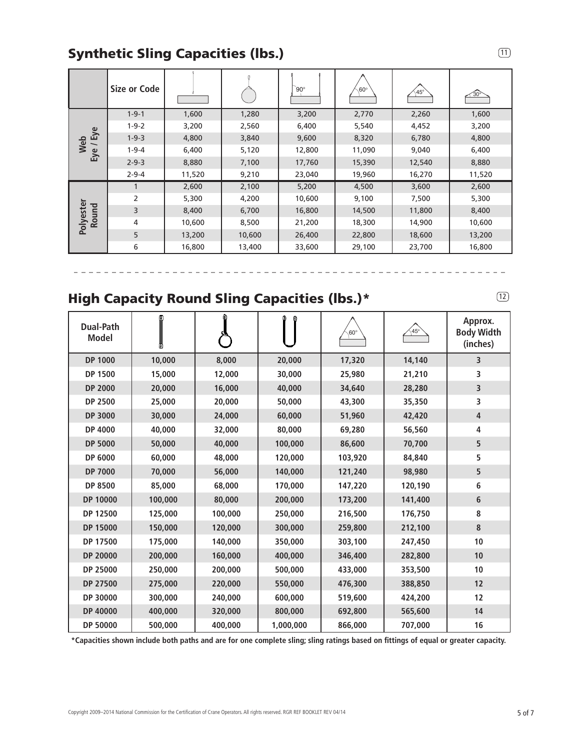## Synthetic Sling Capacities (lbs.)

|                    | <b>Size or Code</b> |        |        | $90^\circ$ | $60^\circ$ | $145^\circ$ | $\widehat{30^{\circ}}$ |
|--------------------|---------------------|--------|--------|------------|------------|-------------|------------------------|
|                    | $1 - 9 - 1$         | 1,600  | 1,280  | 3,200      | 2,770      | 2,260       | 1,600                  |
| ye                 | $1 - 9 - 2$         | 3,200  | 2,560  | 6,400      | 5,540      | 4,452       | 3,200                  |
| ய<br>Web           | $1 - 9 - 3$         | 4,800  | 3,840  | 9,600      | 8,320      | 6,780       | 4,800                  |
| Eye                | $1 - 9 - 4$         | 6,400  | 5,120  | 12,800     | 11,090     | 9,040       | 6,400                  |
|                    | $2 - 9 - 3$         | 8,880  | 7,100  | 17,760     | 15,390     | 12,540      | 8,880                  |
|                    | $2 - 9 - 4$         | 11,520 | 9,210  | 23,040     | 19,960     | 16,270      | 11,520                 |
|                    |                     | 2,600  | 2,100  | 5,200      | 4,500      | 3,600       | 2,600                  |
|                    | 2                   | 5,300  | 4,200  | 10,600     | 9,100      | 7,500       | 5,300                  |
|                    | 3                   | 8,400  | 6,700  | 16,800     | 14,500     | 11,800      | 8,400                  |
| Polyester<br>Round | 4                   | 10,600 | 8,500  | 21,200     | 18,300     | 14,900      | 10,600                 |
|                    | 5                   | 13,200 | 10,600 | 26,400     | 22,800     | 18,600      | 13,200                 |
|                    | 6                   | 16,800 | 13,400 | 33,600     | 29,100     | 23,700      | 16,800                 |

## High Capacity Round Sling Capacities (lbs.)\*

-------------------------

| <b>Dual-Path</b><br><b>Model</b> | O       | ٥       | ⊕         | $60^\circ$ | $\big\langle 45°$ | Approx.<br><b>Body Width</b><br>(inches) |
|----------------------------------|---------|---------|-----------|------------|-------------------|------------------------------------------|
| <b>DP 1000</b>                   | 10,000  | 8,000   | 20,000    | 17,320     | 14,140            | 3                                        |
| <b>DP 1500</b>                   | 15,000  | 12,000  | 30,000    | 25,980     | 21,210            | 3                                        |
| <b>DP 2000</b>                   | 20,000  | 16,000  | 40,000    | 34,640     | 28,280            | 3                                        |
| <b>DP 2500</b>                   | 25,000  | 20,000  | 50,000    | 43,300     | 35,350            | 3                                        |
| <b>DP 3000</b>                   | 30,000  | 24,000  | 60,000    | 51,960     | 42,420            | 4                                        |
| DP 4000                          | 40,000  | 32,000  | 80,000    | 69,280     | 56,560            | 4                                        |
| <b>DP 5000</b>                   | 50,000  | 40,000  | 100,000   | 86,600     | 70,700            | 5                                        |
| <b>DP 6000</b>                   | 60,000  | 48,000  | 120,000   | 103,920    | 84,840            | 5                                        |
| <b>DP 7000</b>                   | 70,000  | 56,000  | 140,000   | 121,240    | 98,980            | 5                                        |
| <b>DP 8500</b>                   | 85,000  | 68,000  | 170,000   | 147,220    | 120,190           | 6                                        |
| DP 10000                         | 100,000 | 80,000  | 200,000   | 173,200    | 141,400           | $\bf 6$                                  |
| DP 12500                         | 125,000 | 100,000 | 250,000   | 216,500    | 176,750           | 8                                        |
| DP 15000                         | 150,000 | 120,000 | 300,000   | 259,800    | 212,100           | $\bf 8$                                  |
| DP 17500                         | 175,000 | 140,000 | 350,000   | 303,100    | 247,450           | 10                                       |
| DP 20000                         | 200,000 | 160,000 | 400,000   | 346,400    | 282,800           | 10                                       |
| DP 25000                         | 250,000 | 200,000 | 500,000   | 433,000    | 353,500           | 10                                       |
| DP 27500                         | 275,000 | 220,000 | 550,000   | 476,300    | 388,850           | 12                                       |
| DP 30000                         | 300,000 | 240,000 | 600,000   | 519,600    | 424,200           | 12                                       |
| DP 40000                         | 400,000 | 320,000 | 800,000   | 692,800    | 565,600           | 14                                       |
| DP 50000                         | 500,000 | 400,000 | 1,000,000 | 866,000    | 707,000           | 16                                       |

**\*Capacities shown include both paths and are for one complete sling; sling ratings based on fittings of equal or greater capacity.**

Copyright 2009–2014 National Commission for the Certification of Crane Operators. All rights reserved. RGR REF BOOKLET REV 04/14 5 of 7

 $(11)$ 

 $(12)$ 

 $\frac{1}{2}$ 

---------------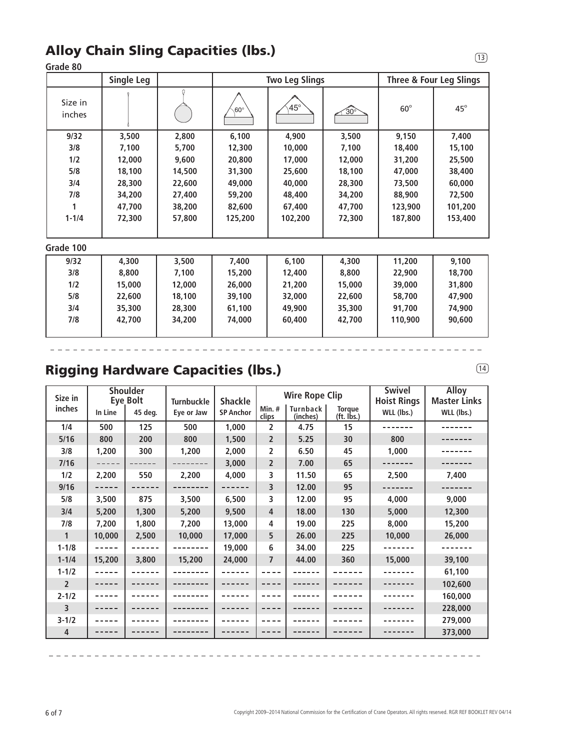## Alloy Chain Sling Capacities (lbs.)

### **Grade 80**

|                   | <b>Single Leg</b> |        | <b>Two Leg Slings</b> |            |            | <b>Three &amp; Four Leg Slings</b> |              |
|-------------------|-------------------|--------|-----------------------|------------|------------|------------------------------------|--------------|
| Size in<br>inches |                   |        | $60^\circ$            | $45^\circ$ | $30^\circ$ | $60^\circ$                         | $45^{\circ}$ |
| 9/32              | 3,500             | 2,800  | 6,100                 | 4,900      | 3,500      | 9,150                              | 7,400        |
| 3/8               | 7,100             | 5,700  | 12,300                | 10,000     | 7,100      | 18,400                             | 15,100       |
| 1/2               | 12,000            | 9,600  | 20,800                | 17,000     | 12,000     | 31,200                             | 25,500       |
| 5/8               | 18,100            | 14,500 | 31,300                | 25,600     | 18,100     | 47,000                             | 38,400       |
| 3/4               | 28,300            | 22,600 | 49,000                | 40,000     | 28,300     | 73,500                             | 60,000       |
| 7/8               | 34,200            | 27,400 | 59,200                | 48,400     | 34,200     | 88,900                             | 72,500       |
| 1                 | 47,700            | 38,200 | 82,600                | 67,400     | 47,700     | 123,900                            | 101,200      |
| $1 - 1/4$         | 72,300            | 57,800 | 125,200               | 102,200    | 72,300     | 187,800                            | 153,400      |
|                   |                   |        |                       |            |            |                                    |              |
| Grade 100         |                   |        |                       |            |            |                                    |              |
| 9/32              | 4,300             | 3,500  | 7,400                 | 6,100      | 4,300      | 11,200                             | 9,100        |
| 3/8               | 8,800             | 7,100  | 15,200                | 12,400     | 8,800      | 22,900                             | 18,700       |
| 1/2               | 15,000            | 12,000 | 26,000                | 21,200     | 15,000     | 39,000                             | 31,800       |
| 5/8               | 22,600            | 18,100 | 39,100                | 32,000     | 22,600     | 58,700                             | 47,900       |
| 3/4               | 35,300            | 28,300 | 61,100                | 49,900     | 35,300     | 91,700                             | 74,900       |
| 7/8               | 42,700            | 34,200 | 74,000                | 60,400     | 42,700     | 110,900                            | 90,600       |
|                   |                   |        |                       |            |            |                                    |              |

## Rigging Hardware Capacities (lbs.)

| <b>Shoulder</b><br>Size in<br>Eye Bolt |         | <b>Turnbuckle</b> | <b>Shackle</b> | <b>Wire Rope Clip</b> |                   |                      | <b>Swivel</b><br><b>Hoist Rings</b> | <b>Alloy</b><br><b>Master Links</b> |            |
|----------------------------------------|---------|-------------------|----------------|-----------------------|-------------------|----------------------|-------------------------------------|-------------------------------------|------------|
| inches                                 | In Line | 45 deg.           | Eye or Jaw     | <b>SP Anchor</b>      | $Min.$ #<br>clips | Turnback<br>(inches) | <b>Torque</b><br>(ft. Ibs.)         | WLL (lbs.)                          | WLL (lbs.) |
| 1/4                                    | 500     | 125               | 500            | 1,000                 | 2                 | 4.75                 | 15                                  |                                     |            |
| 5/16                                   | 800     | 200               | 800            | 1,500                 | 2                 | 5.25                 | 30                                  | 800                                 |            |
| 3/8                                    | 1,200   | 300               | 1,200          | 2,000                 | 2                 | 6.50                 | 45                                  | 1,000                               |            |
| 7/16                                   |         |                   |                | 3,000                 | $\overline{2}$    | 7.00                 | 65                                  |                                     |            |
| 1/2                                    | 2,200   | 550               | 2,200          | 4,000                 | 3                 | 11.50                | 65                                  | 2,500                               | 7,400      |
| 9/16                                   |         |                   |                |                       | 3                 | 12.00                | 95                                  |                                     |            |
| 5/8                                    | 3,500   | 875               | 3,500          | 6,500                 | 3                 | 12.00                | 95                                  | 4,000                               | 9,000      |
| 3/4                                    | 5,200   | 1,300             | 5,200          | 9,500                 | 4                 | 18.00                | 130                                 | 5,000                               | 12,300     |
| 7/8                                    | 7,200   | 1,800             | 7,200          | 13,000                | 4                 | 19.00                | 225                                 | 8,000                               | 15,200     |
| 1                                      | 10,000  | 2,500             | 10,000         | 17,000                | 5                 | 26.00                | 225                                 | 10,000                              | 26,000     |
| $1 - 1/8$                              |         |                   |                | 19,000                | 6                 | 34.00                | 225                                 |                                     |            |
| $1 - 1/4$                              | 15,200  | 3,800             | 15,200         | 24,000                | 7                 | 44.00                | 360                                 | 15,000                              | 39,100     |
| $1 - 1/2$                              |         |                   |                |                       |                   |                      |                                     |                                     | 61,100     |
| $\overline{2}$                         |         |                   |                |                       |                   |                      |                                     |                                     | 102,600    |
| $2 - 1/2$                              |         |                   |                |                       |                   |                      |                                     |                                     | 160,000    |
| $\overline{3}$                         |         |                   |                |                       |                   |                      |                                     |                                     | 228,000    |
| $3 - 1/2$                              |         |                   |                |                       |                   |                      |                                     |                                     | 279,000    |
| $\overline{4}$                         |         |                   |                |                       |                   |                      |                                     |                                     | 373,000    |

14

 $\boxed{13}$